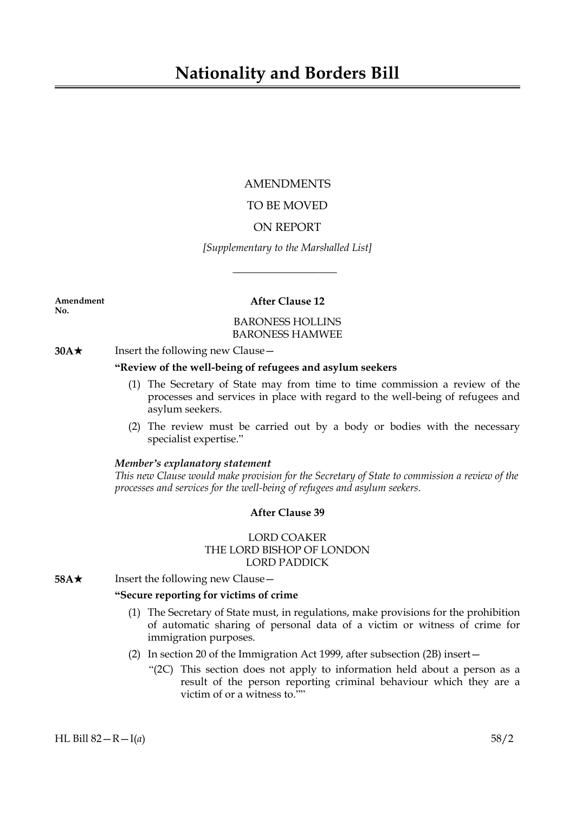## AMENDMENTS

# TO BE MOVED

# ON REPORT

## *[Supplementary to the Marshalled List]*

 $\overline{\phantom{a}}$  , where  $\overline{\phantom{a}}$ 

**No.**

# **Amendment After Clause 12**

#### BARONESS HOLLINS BARONESS HAMWEE

# **30A**★ Insert the following new Clause —

## **"Review of the well-being of refugees and asylum seekers**

- (1) The Secretary of State may from time to time commission a review of the processes and services in place with regard to the well-being of refugees and asylum seekers.
- (2) The review must be carried out by a body or bodies with the necessary specialist expertise."

#### *Member's explanatory statement*

*This new Clause would make provision for the Secretary of State to commission a review of the processes and services for the well-being of refugees and asylum seekers.*

## **After Clause 39**

## LORD COAKER THE LORD BISHOP OF LONDON LORD PADDICK

**58A**★ Insert the following new Clause —

#### **"Secure reporting for victims of crime**

- (1) The Secretary of State must, in regulations, make provisions for the prohibition of automatic sharing of personal data of a victim or witness of crime for immigration purposes.
- (2) In section 20 of the Immigration Act 1999, after subsection (2B) insert—
	- "(2C) This section does not apply to information held about a person as a result of the person reporting criminal behaviour which they are a victim of or a witness to.""

HL Bill 82—R—I(*a*) 58/2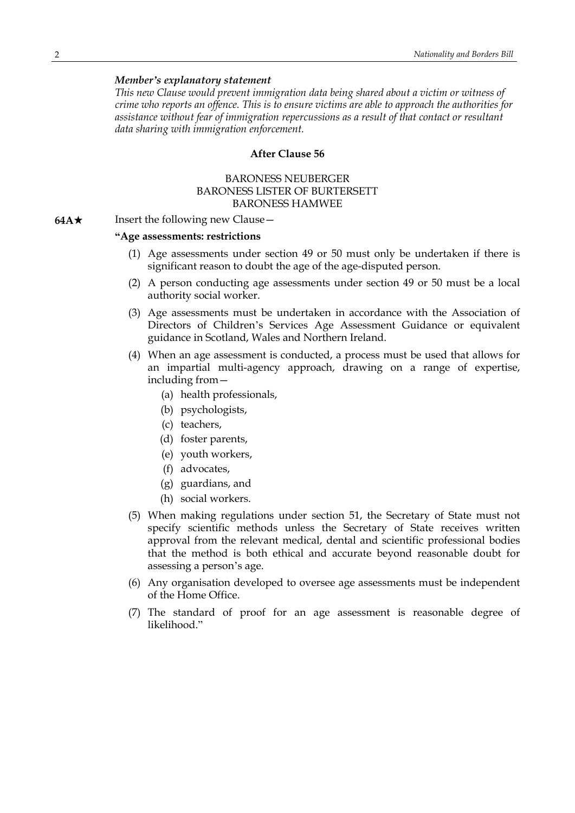#### *Member's explanatory statement*

*This new Clause would prevent immigration data being shared about a victim or witness of crime who reports an offence. This is to ensure victims are able to approach the authorities for assistance without fear of immigration repercussions as a result of that contact or resultant data sharing with immigration enforcement.*

#### **After Clause 56**

#### BARONESS NEUBERGER BARONESS LISTER OF BURTERSETT BARONESS HAMWEE

**64A**★ Insert the following new Clause —

#### **"Age assessments: restrictions**

- (1) Age assessments under section 49 or 50 must only be undertaken if there is significant reason to doubt the age of the age-disputed person.
- (2) A person conducting age assessments under section 49 or 50 must be a local authority social worker.
- (3) Age assessments must be undertaken in accordance with the Association of Directors of Children's Services Age Assessment Guidance or equivalent guidance in Scotland, Wales and Northern Ireland.
- (4) When an age assessment is conducted, a process must be used that allows for an impartial multi-agency approach, drawing on a range of expertise, including from—
	- (a) health professionals,
	- (b) psychologists,
	- (c) teachers,
	- (d) foster parents,
	- (e) youth workers,
	- (f) advocates,
	- (g) guardians, and
	- (h) social workers.
- (5) When making regulations under section 51, the Secretary of State must not specify scientific methods unless the Secretary of State receives written approval from the relevant medical, dental and scientific professional bodies that the method is both ethical and accurate beyond reasonable doubt for assessing a person's age.
- (6) Any organisation developed to oversee age assessments must be independent of the Home Office.
- (7) The standard of proof for an age assessment is reasonable degree of likelihood."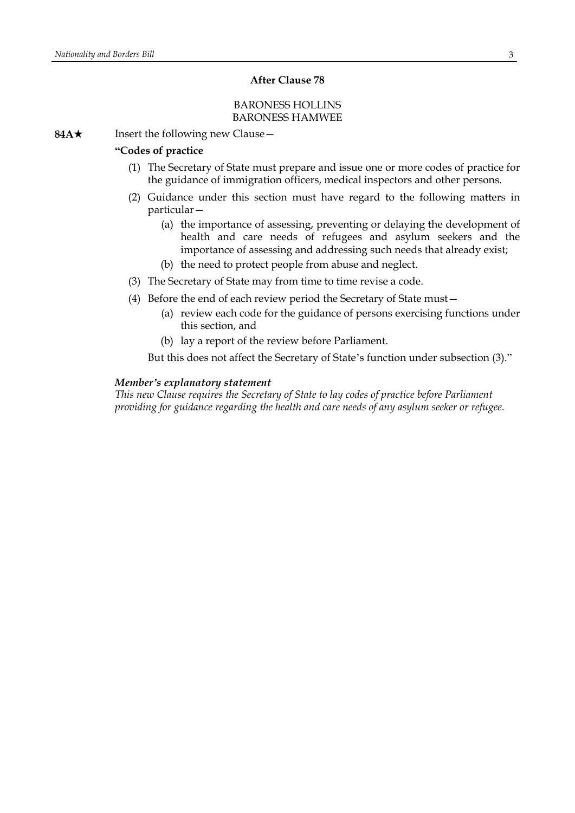#### **After Clause 78**

#### BARONESS HOLLINS BARONESS HAMWEE

**84A**★ Insert the following new Clause —

### **"Codes of practice**

- (1) The Secretary of State must prepare and issue one or more codes of practice for the guidance of immigration officers, medical inspectors and other persons.
- (2) Guidance under this section must have regard to the following matters in particular—
	- (a) the importance of assessing, preventing or delaying the development of health and care needs of refugees and asylum seekers and the importance of assessing and addressing such needs that already exist;
	- (b) the need to protect people from abuse and neglect.
- (3) The Secretary of State may from time to time revise a code.
- (4) Before the end of each review period the Secretary of State must—
	- (a) review each code for the guidance of persons exercising functions under this section, and
	- (b) lay a report of the review before Parliament.

But this does not affect the Secretary of State's function under subsection (3)."

#### *Member's explanatory statement*

*This new Clause requires the Secretary of State to lay codes of practice before Parliament providing for guidance regarding the health and care needs of any asylum seeker or refugee.*